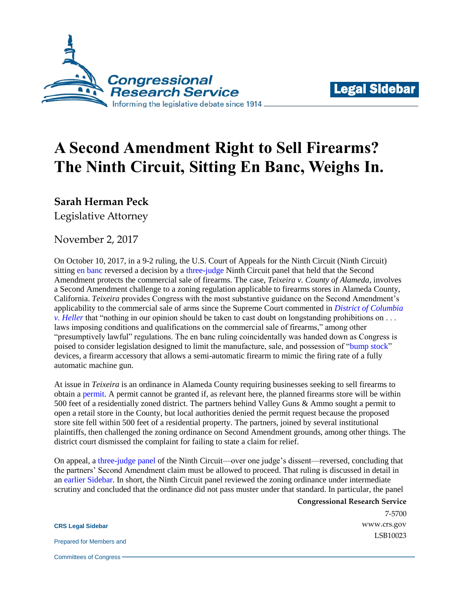



## **A Second Amendment Right to Sell Firearms? The Ninth Circuit, Sitting En Banc, Weighs In.**

**Sarah Herman Peck**

Legislative Attorney

November 2, 2017

On October 10, 2017, in a 9-2 ruling, the U.S. Court of Appeals for the Ninth Circuit (Ninth Circuit) sitting [en banc](http://cdn.ca9.uscourts.gov/datastore/opinions/2017/10/10/13-17132.pdf) reversed a decision by a [three-judge](http://cdn.ca9.uscourts.gov/datastore/opinions/2016/05/16/13-17132.pdf) Ninth Circuit panel that held that the Second Amendment protects the commercial sale of firearms. The case, *Teixeira v. County of Alameda,* involves a Second Amendment challenge to a zoning regulation applicable to firearms stores in Alameda County, California. *Teixeira* provides Congress with the most substantive guidance on the Second Amendment's applicability to the commercial sale of arms since the Supreme Court commented in *[District of Columbia](https://scholar.google.com/scholar_case?case=6484080926445491577&q=554+U.S.+570&hl=en&as_sdt=20006)  [v. Heller](https://scholar.google.com/scholar_case?case=6484080926445491577&q=554+U.S.+570&hl=en&as_sdt=20006)* that "nothing in our opinion should be taken to cast doubt on longstanding prohibitions on . . . laws imposing conditions and qualifications on the commercial sale of firearms," among other "presumptively lawful" regulations. The en banc ruling coincidentally was handed down as Congress is poised to consider legislation designed to limit the manufacture, sale, and possession of ["bump stock"](https://fas.org/sgp/crs/misc/IN10801.pdf) devices, a firearm accessory that allows a semi-automatic firearm to mimic the firing rate of a fully automatic machine gun.

At issue in *Teixeira* is an ordinance in Alameda County requiring businesses seeking to sell firearms to obtain a [permit.](https://www2.municode.com/library/ca/alameda_county/codes/code_of_ordinances?nodeId=TIT17ZO_CH17.54PR_17.54.130COUS) A permit cannot be granted if, as relevant here, the planned firearms store will be within 500 feet of a residentially zoned district. The partners behind Valley Guns & Ammo sought a permit to open a retail store in the County, but local authorities denied the permit request because the proposed store site fell within 500 feet of a residential property. The partners, joined by several institutional plaintiffs, then challenged the zoning ordinance on Second Amendment grounds, among other things. The district court dismissed the complaint for failing to state a claim for relief.

On appeal, a [three-judge panel](http://cdn.ca9.uscourts.gov/datastore/opinions/2016/05/16/13-17132.pdf) of the Ninth Circuit—over one judge's dissent—reversed, concluding that the partners' Second Amendment claim must be allowed to proceed. That ruling is discussed in detail in an [earlier Sidebar.](http://www.crs.gov/LegalSidebar/details/1612?source=search) In short, the Ninth Circuit panel reviewed the zoning ordinance under intermediate scrutiny and concluded that the ordinance did not pass muster under that standard. In particular, the panel

> **Congressional Research Service** 7-5700 [www.crs.gov](http://www.crs.gov/) LSB10023

**CRS Legal Sidebar**

Prepared for Members and

Committees of Congress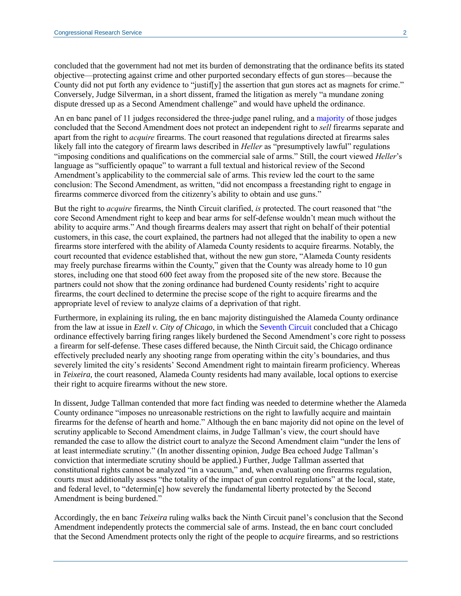concluded that the government had not met its burden of demonstrating that the ordinance befits its stated objective—protecting against crime and other purported secondary effects of gun stores—because the County did not put forth any evidence to "justif[y] the assertion that gun stores act as magnets for crime." Conversely, Judge Silverman, in a short dissent, framed the litigation as merely "a mundane zoning dispute dressed up as a Second Amendment challenge" and would have upheld the ordinance.

An en banc panel of 11 judges reconsidered the three-judge panel ruling, and a [majority](http://cdn.ca9.uscourts.gov/datastore/opinions/2017/10/10/13-17132.pdf) of those judges concluded that the Second Amendment does not protect an independent right to *sell* firearms separate and apart from the right to *acquire* firearms. The court reasoned that regulations directed at firearms sales likely fall into the category of firearm laws described in *Heller* as "presumptively lawful" regulations "imposing conditions and qualifications on the commercial sale of arms." Still, the court viewed *Heller*'s language as "sufficiently opaque" to warrant a full textual and historical review of the Second Amendment's applicability to the commercial sale of arms. This review led the court to the same conclusion: The Second Amendment, as written, "did not encompass a freestanding right to engage in firearms commerce divorced from the citizenry's ability to obtain and use guns."

But the right to *acquire* firearms, the Ninth Circuit clarified, *is* protected. The court reasoned that "the core Second Amendment right to keep and bear arms for self-defense wouldn't mean much without the ability to acquire arms." And though firearms dealers may assert that right on behalf of their potential customers, in this case, the court explained, the partners had not alleged that the inability to open a new firearms store interfered with the ability of Alameda County residents to acquire firearms. Notably, the court recounted that evidence established that, without the new gun store, "Alameda County residents may freely purchase firearms within the County," given that the County was already home to 10 gun stores, including one that stood 600 feet away from the proposed site of the new store. Because the partners could not show that the zoning ordinance had burdened County residents' right to acquire firearms, the court declined to determine the precise scope of the right to acquire firearms and the appropriate level of review to analyze claims of a deprivation of that right.

Furthermore, in explaining its ruling, the en banc majority distinguished the Alameda County ordinance from the law at issue in *Ezell v. City of Chicago,* in which the [Seventh Circuit](https://scholar.google.com/scholar_case?q=651+F.3d+684&hl=en&as_sdt=20006&case=17044109654189761463&scilh=0) concluded that a Chicago ordinance effectively barring firing ranges likely burdened the Second Amendment's core right to possess a firearm for self-defense. These cases differed because, the Ninth Circuit said, the Chicago ordinance effectively precluded nearly any shooting range from operating within the city's boundaries, and thus severely limited the city's residents' Second Amendment right to maintain firearm proficiency. Whereas in *Teixeira,* the court reasoned, Alameda County residents had many available, local options to exercise their right to acquire firearms without the new store.

In dissent, Judge Tallman contended that more fact finding was needed to determine whether the Alameda County ordinance "imposes no unreasonable restrictions on the right to lawfully acquire and maintain firearms for the defense of hearth and home." Although the en banc majority did not opine on the level of scrutiny applicable to Second Amendment claims, in Judge Tallman's view, the court should have remanded the case to allow the district court to analyze the Second Amendment claim "under the lens of at least intermediate scrutiny." (In another dissenting opinion, Judge Bea echoed Judge Tallman's conviction that intermediate scrutiny should be applied.) Further, Judge Tallman asserted that constitutional rights cannot be analyzed "in a vacuum," and, when evaluating one firearms regulation, courts must additionally assess "the totality of the impact of gun control regulations" at the local, state, and federal level, to "determin[e] how severely the fundamental liberty protected by the Second Amendment is being burdened."

Accordingly, the en banc *Teixeira* ruling walks back the Ninth Circuit panel's conclusion that the Second Amendment independently protects the commercial sale of arms. Instead, the en banc court concluded that the Second Amendment protects only the right of the people to *acquire* firearms, and so restrictions